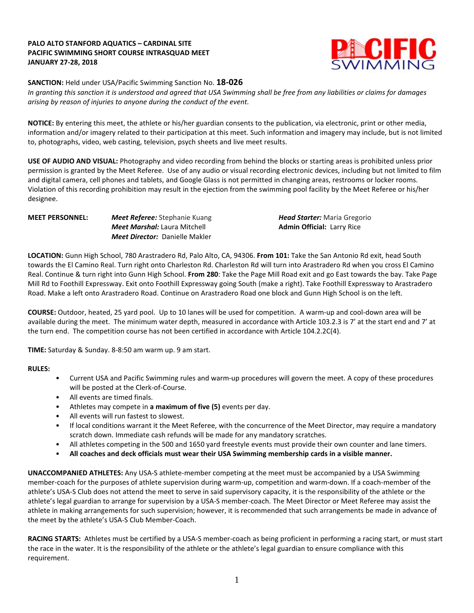### **PALO ALTO STANFORD AQUATICS – CARDINAL SITE PACIFIC SWIMMING SHORT COURSE INTRASQUAD MEET JANUARY 27-28, 2018**



## **SANCTION:** Held under USA/Pacific Swimming Sanction No. **18-026**

In granting this sanction it is understood and agreed that USA Swimming shall be free from any liabilities or claims for damages *arising by reason of injuries to anyone during the conduct of the event.*

**NOTICE:** By entering this meet, the athlete or his/her guardian consents to the publication, via electronic, print or other media, information and/or imagery related to their participation at this meet. Such information and imagery may include, but is not limited to, photographs, video, web casting, television, psych sheets and live meet results.

**USE OF AUDIO AND VISUAL:** Photography and video recording from behind the blocks or starting areas is prohibited unless prior permission is granted by the Meet Referee. Use of any audio or visual recording electronic devices, including but not limited to film and digital camera, cell phones and tablets, and Google Glass is not permitted in changing areas, restrooms or locker rooms. Violation of this recording prohibition may result in the ejection from the swimming pool facility by the Meet Referee or his/her designee.

| <b>MEET PERSONNEL:</b> | <b>Meet Referee:</b> Stephanie Kuang  | <b>Head Starter:</b> Maria Gregorio |
|------------------------|---------------------------------------|-------------------------------------|
|                        | <b>Meet Marshal:</b> Laura Mitchell   | <b>Admin Official: Larry Rice</b>   |
|                        | <b>Meet Director:</b> Danielle Makler |                                     |

**LOCATION:** Gunn High School, 780 Arastradero Rd, Palo Alto, CA, 94306. **From 101:** Take the San Antonio Rd exit, head South towards the El Camino Real. Turn right onto Charleston Rd. Charleston Rd will turn into Arastradero Rd when you cross El Camino Real. Continue & turn right into Gunn High School. **From 280**: Take the Page Mill Road exit and go East towards the bay. Take Page Mill Rd to Foothill Expressway. Exit onto Foothill Expressway going South (make a right). Take Foothill Expressway to Arastradero Road. Make a left onto Arastradero Road. Continue on Arastradero Road one block and Gunn High School is on the left.

**COURSE:** Outdoor, heated, 25 yard pool.Up to 10 lanes will be used for competition. A warm-up and cool-down area will be available during the meet. The minimum water depth, measured in accordance with Article 103.2.3 is 7' at the start end and 7' at the turn end. The competition course has not been certified in accordance with Article 104.2.2C(4).

**TIME:** Saturday & Sunday. 8-8:50 am warm up. 9 am start.

#### **RULES:**

- Current USA and Pacific Swimming rules and warm-up procedures will govern the meet. A copy of these procedures will be posted at the Clerk-of-Course.
- All events are timed finals.
- Athletes may compete in **a maximum of five (5)** events per day.
- All events will run fastest to slowest.
- If local conditions warrant it the Meet Referee, with the concurrence of the Meet Director, may require a mandatory scratch down. Immediate cash refunds will be made for any mandatory scratches.
- All athletes competing in the 500 and 1650 yard freestyle events must provide their own counter and lane timers.
- **All coaches and deck officials must wear their USA Swimming membership cards in a visible manner.**

**UNACCOMPANIED ATHLETES:** Any USA-S athlete-member competing at the meet must be accompanied by a USA Swimming member-coach for the purposes of athlete supervision during warm-up, competition and warm-down. If a coach-member of the athlete's USA-S Club does not attend the meet to serve in said supervisory capacity, it is the responsibility of the athlete or the athlete's legal guardian to arrange for supervision by a USA-S member-coach. The Meet Director or Meet Referee may assist the athlete in making arrangements for such supervision; however, it is recommended that such arrangements be made in advance of the meet by the athlete's USA-S Club Member-Coach.

**RACING STARTS:** Athletes must be certified by a USA-S member-coach as being proficient in performing a racing start, or must start the race in the water. It is the responsibility of the athlete or the athlete's legal guardian to ensure compliance with this requirement.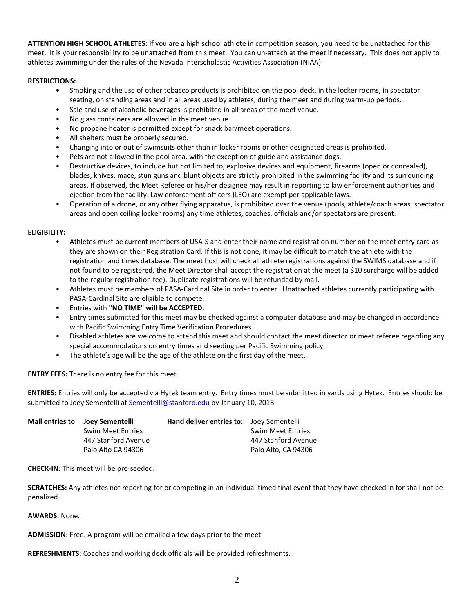**ATTENTION HIGH SCHOOL ATHLETES:** If you are a high school athlete in competition season, you need to be unattached for this meet. It is your responsibility to be unattached from this meet. You can un-attach at the meet if necessary. This does not apply to athletes swimming under the rules of the Nevada Interscholastic Activities Association (NIAA).

### **RESTRICTIONS:**

- Smoking and the use of other tobacco products is prohibited on the pool deck, in the locker rooms, in spectator seating, on standing areas and in all areas used by athletes, during the meet and during warm-up periods.
- Sale and use of alcoholic beverages is prohibited in all areas of the meet venue.
- No glass containers are allowed in the meet venue.
- No propane heater is permitted except for snack bar/meet operations.
- All shelters must be properly secured.
- Changing into or out of swimsuits other than in locker rooms or other designated areas is prohibited.
- Pets are not allowed in the pool area, with the exception of guide and assistance dogs.
- Destructive devices, to include but not limited to, explosive devices and equipment, firearms (open or concealed), blades, knives, mace, stun guns and blunt objects are strictly prohibited in the swimming facility and its surrounding areas. If observed, the Meet Referee or his/her designee may result in reporting to law enforcement authorities and ejection from the facility. Law enforcement officers (LEO) are exempt per applicable laws.
- Operation of a drone, or any other flying apparatus, is prohibited over the venue (pools, athlete/coach areas, spectator areas and open ceiling locker rooms) any time athletes, coaches, officials and/or spectators are present.

#### **ELIGIBILITY:**

- Athletes must be current members of USA-S and enter their name and registration number on the meet entry card as they are shown on their Registration Card. If this is not done, it may be difficult to match the athlete with the registration and times database. The meet host will check all athlete registrations against the SWIMS database and if not found to be registered, the Meet Director shall accept the registration at the meet (a \$10 surcharge will be added to the regular registration fee). Duplicate registrations will be refunded by mail.
- Athletes must be members of PASA-Cardinal Site in order to enter. Unattached athletes currently participating with PASA-Cardinal Site are eligible to compete.
- Entries with **"NO TIME" will be ACCEPTED.**
- Entry times submitted for this meet may be checked against a computer database and may be changed in accordance with Pacific Swimming Entry Time Verification Procedures.
- Disabled athletes are welcome to attend this meet and should contact the meet director or meet referee regarding any special accommodations on entry times and seeding per Pacific Swimming policy.
- The athlete's age will be the age of the athlete on the first day of the meet.

**ENTRY FEES:** There is no entry fee for this meet.

**ENTRIES:** Entries will only be accepted via Hytek team entry. Entry times must be submitted in yards using Hytek. Entries should be submitted to Joey Sementelli at [Sementelli@stanford.edu](mailto:Sementelli@stanford.edu) by January 10, 2018.

| Mail entries to: Joey Sementelli | <b>Hand deliver entries to:</b> Joey Sementelli |                          |
|----------------------------------|-------------------------------------------------|--------------------------|
| <b>Swim Meet Entries</b>         |                                                 | <b>Swim Meet Entries</b> |
| 447 Stanford Avenue              |                                                 | 447 Stanford Avenue      |
| Palo Alto CA 94306               |                                                 | Palo Alto, CA 94306      |

**CHECK-IN**: This meet will be pre-seeded.

**SCRATCHES:** Any athletes not reporting for or competing in an individual timed final event that they have checked in for shall not be penalized.

**AWARDS**: None.

**ADMISSION:** Free. A program will be emailed a few days prior to the meet.

**REFRESHMENTS:** Coaches and working deck officials will be provided refreshments.